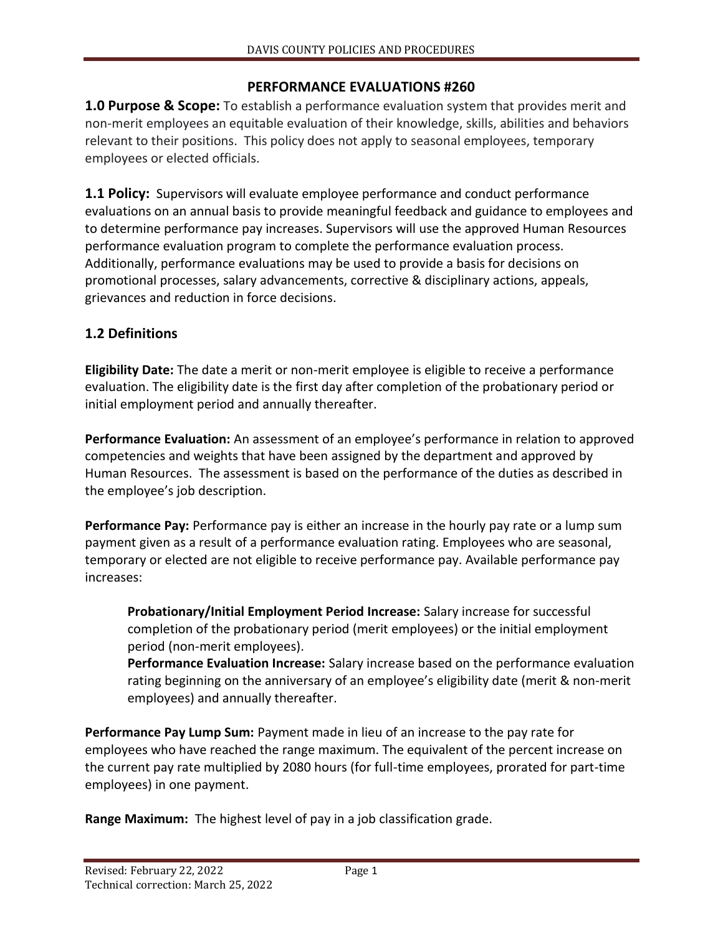### **PERFORMANCE EVALUATIONS #260**

**1.0 Purpose & Scope:** To establish a performance evaluation system that provides merit and non-merit employees an equitable evaluation of their knowledge, skills, abilities and behaviors relevant to their positions. This policy does not apply to seasonal employees, temporary employees or elected officials.

**1.1 Policy:** Supervisors will evaluate employee performance and conduct performance evaluations on an annual basis to provide meaningful feedback and guidance to employees and to determine performance pay increases. Supervisors will use the approved Human Resources performance evaluation program to complete the performance evaluation process. Additionally, performance evaluations may be used to provide a basis for decisions on promotional processes, salary advancements, corrective & disciplinary actions, appeals, grievances and reduction in force decisions.

## **1.2 Definitions**

**Eligibility Date:** The date a merit or non-merit employee is eligible to receive a performance evaluation. The eligibility date is the first day after completion of the probationary period or initial employment period and annually thereafter.

**Performance Evaluation:** An assessment of an employee's performance in relation to approved competencies and weights that have been assigned by the department and approved by Human Resources. The assessment is based on the performance of the duties as described in the employee's job description.

**Performance Pay:** Performance pay is either an increase in the hourly pay rate or a lump sum payment given as a result of a performance evaluation rating. Employees who are seasonal, temporary or elected are not eligible to receive performance pay. Available performance pay increases:

**Probationary/Initial Employment Period Increase:** Salary increase for successful completion of the probationary period (merit employees) or the initial employment period (non-merit employees).

**Performance Evaluation Increase:** Salary increase based on the performance evaluation rating beginning on the anniversary of an employee's eligibility date (merit & non-merit employees) and annually thereafter.

**Performance Pay Lump Sum:** Payment made in lieu of an increase to the pay rate for employees who have reached the range maximum. The equivalent of the percent increase on the current pay rate multiplied by 2080 hours (for full-time employees, prorated for part-time employees) in one payment.

**Range Maximum:** The highest level of pay in a job classification grade.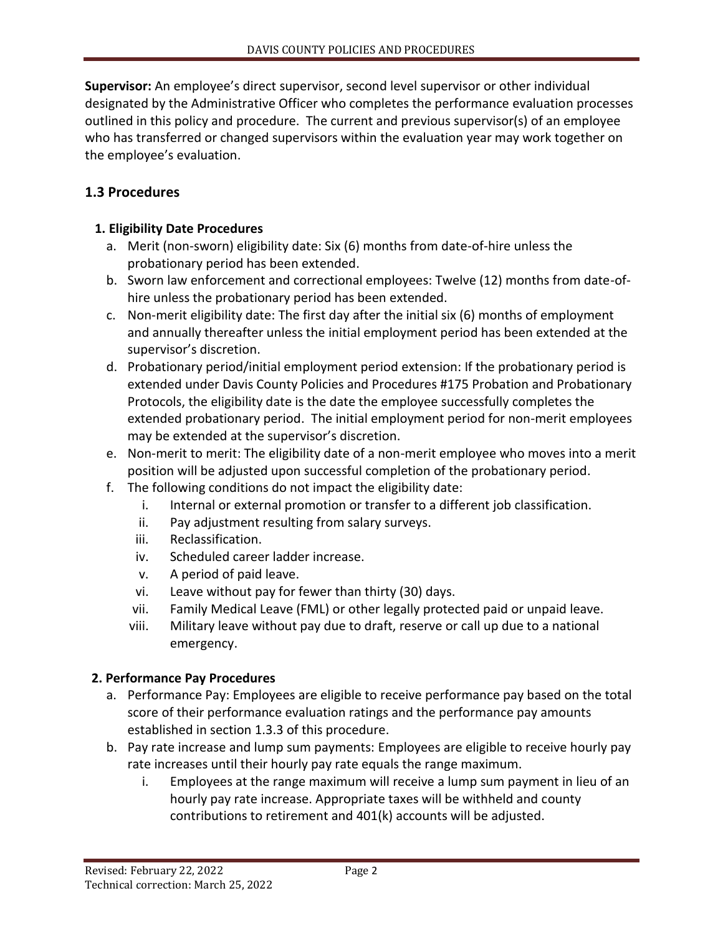**Supervisor:** An employee's direct supervisor, second level supervisor or other individual designated by the Administrative Officer who completes the performance evaluation processes outlined in this policy and procedure. The current and previous supervisor(s) of an employee who has transferred or changed supervisors within the evaluation year may work together on the employee's evaluation.

## **1.3 Procedures**

#### **1. Eligibility Date Procedures**

- a. Merit (non-sworn) eligibility date: Six (6) months from date-of-hire unless the probationary period has been extended.
- b. Sworn law enforcement and correctional employees: Twelve (12) months from date-ofhire unless the probationary period has been extended.
- c. Non-merit eligibility date: The first day after the initial six (6) months of employment and annually thereafter unless the initial employment period has been extended at the supervisor's discretion.
- d. Probationary period/initial employment period extension: If the probationary period is extended under Davis County Policies and Procedures #175 Probation and Probationary Protocols, the eligibility date is the date the employee successfully completes the extended probationary period. The initial employment period for non-merit employees may be extended at the supervisor's discretion.
- e. Non-merit to merit: The eligibility date of a non-merit employee who moves into a merit position will be adjusted upon successful completion of the probationary period.
- f. The following conditions do not impact the eligibility date:
	- i. Internal or external promotion or transfer to a different job classification.
	- ii. Pay adjustment resulting from salary surveys.
	- iii. Reclassification.
	- iv. Scheduled career ladder increase.
	- v. A period of paid leave.
	- vi. Leave without pay for fewer than thirty (30) days.
	- vii. Family Medical Leave (FML) or other legally protected paid or unpaid leave.
	- viii. Military leave without pay due to draft, reserve or call up due to a national emergency.

#### **2. Performance Pay Procedures**

- a. Performance Pay: Employees are eligible to receive performance pay based on the total score of their performance evaluation ratings and the performance pay amounts established in section 1.3.3 of this procedure.
- b. Pay rate increase and lump sum payments: Employees are eligible to receive hourly pay rate increases until their hourly pay rate equals the range maximum.
	- i. Employees at the range maximum will receive a lump sum payment in lieu of an hourly pay rate increase. Appropriate taxes will be withheld and county contributions to retirement and 401(k) accounts will be adjusted.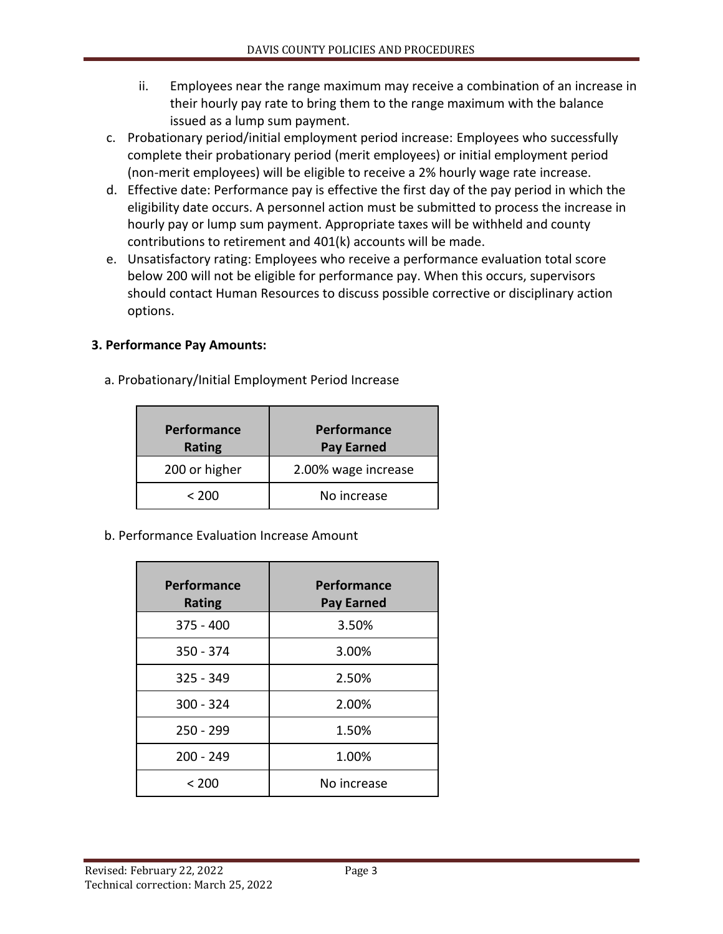- ii. Employees near the range maximum may receive a combination of an increase in their hourly pay rate to bring them to the range maximum with the balance issued as a lump sum payment.
- c. Probationary period/initial employment period increase: Employees who successfully complete their probationary period (merit employees) or initial employment period (non-merit employees) will be eligible to receive a 2% hourly wage rate increase.
- d. Effective date: Performance pay is effective the first day of the pay period in which the eligibility date occurs. A personnel action must be submitted to process the increase in hourly pay or lump sum payment. Appropriate taxes will be withheld and county contributions to retirement and 401(k) accounts will be made.
- e. Unsatisfactory rating: Employees who receive a performance evaluation total score below 200 will not be eligible for performance pay. When this occurs, supervisors should contact Human Resources to discuss possible corrective or disciplinary action options.

# **3. Performance Pay Amounts:**

a. Probationary/Initial Employment Period Increase

| Performance<br><b>Rating</b> | Performance<br><b>Pay Earned</b> |
|------------------------------|----------------------------------|
| 200 or higher                | 2.00% wage increase              |
| < 200                        | No increase                      |
|                              |                                  |

b. Performance Evaluation Increase Amount

| Performance<br><b>Rating</b> | Performance<br><b>Pay Earned</b> |
|------------------------------|----------------------------------|
| $375 - 400$                  | 3.50%                            |
| 350 - 374                    | 3.00%                            |
| $325 - 349$                  | 2.50%                            |
| $300 - 324$                  | 2.00%                            |
| $250 - 299$                  | 1.50%                            |
| $200 - 249$                  | 1.00%                            |
| < 200                        | No increase                      |